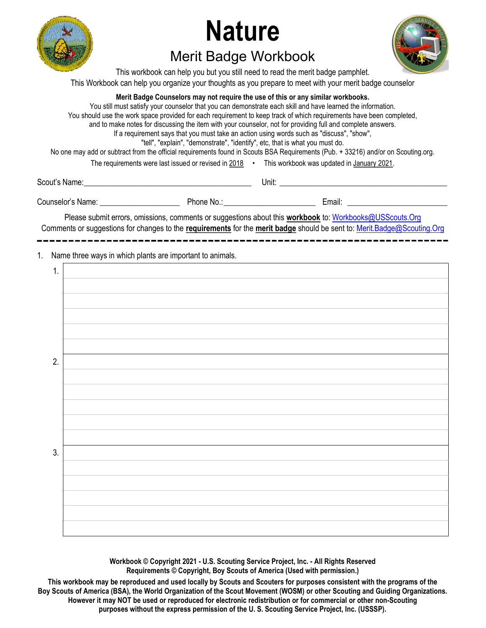

# **Nature**



## Merit Badge Workbook

This workbook can help you but you still need to read the merit badge pamphlet. This Workbook can help you organize your thoughts as you prepare to meet with your merit badge counselor

#### Merit Badge Counselors may not require the use of this or any similar workbooks.

You still must satisfy your counselor that you can demonstrate each skill and have learned the information. You should use the work space provided for each requirement to keep track of which requirements have been completed, and to make notes for discussing the item with your counselor, not for providing full and complete answers. If a requirement says that you must take an action using words such as "discuss", "show", "tell", "explain", "demonstrate", "identify", etc, that is what you must do. No one may add or subtract from the official requirements found in Scouts BSA Requirements (Pub. + 33216) and/or on Scouting.org. The requirements were last issued or revised in 2018 • This workbook was updated in January 2021.

Scout's Name: \_\_\_\_\_\_\_\_\_\_\_\_\_\_\_\_\_\_\_\_\_\_\_\_\_\_\_\_\_\_\_\_\_\_\_\_\_\_\_\_\_\_ Unit: \_\_\_\_\_\_\_\_\_\_\_\_\_\_\_\_\_\_\_\_\_\_\_\_\_\_\_\_\_\_\_\_\_\_\_\_\_\_\_\_\_\_

Counselor's Name: \_\_\_\_\_\_\_\_\_\_\_\_\_\_\_\_\_\_\_\_ Phone No.: \_\_\_\_\_\_\_\_\_\_\_\_\_\_\_\_\_\_\_\_\_\_\_ Email: \_\_\_\_\_\_\_\_\_\_\_\_\_\_\_\_\_\_\_\_\_\_\_\_\_

Please submit errors, omissions, comments or suggestions about this **workbook** to: Workbooks@USScouts.Org Comments or suggestions for changes to the requirements for the merit badge should be sent to: Merit.Badge@Scouting.Org 

1. Name three ways in which plants are important to animals.

| 1. |  |
|----|--|
|    |  |
|    |  |
|    |  |
|    |  |
|    |  |
| 2. |  |
|    |  |
|    |  |
|    |  |
|    |  |
|    |  |
| 3. |  |
|    |  |
|    |  |
|    |  |
|    |  |
|    |  |

Workbook © Copyright 2021 - U.S. Scouting Service Project, Inc. - All Rights Reserved Requirements © Copyright, Boy Scouts of America (Used with permission.)

This workbook may be reproduced and used locally by Scouts and Scouters for purposes consistent with the programs of the Boy Scouts of America (BSA), the World Organization of the Scout Movement (WOSM) or other Scouting and Guiding Organizations. However it may NOT be used or reproduced for electronic redistribution or for commercial or other non-Scouting purposes without the express permission of the U. S. Scouting Service Project, Inc. (USSSP).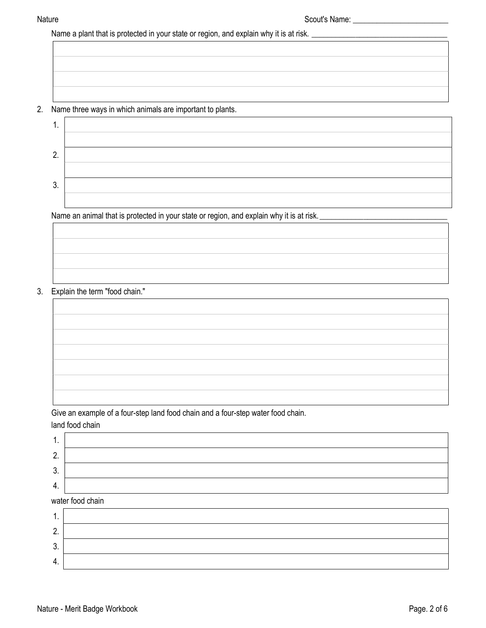Name a plant that is protected in your state or region, and explain why it is at risk. \_\_\_\_\_\_\_\_\_\_\_\_\_\_\_\_\_\_\_\_\_\_\_\_\_\_\_\_\_\_\_\_\_\_

#### 2. Name three ways in which animals are important to plants.

| . .     |  |
|---------|--|
|         |  |
| ŋ<br>Ζ. |  |
|         |  |
| J<br>υ. |  |
|         |  |

Name an animal that is protected in your state or region, and explain why it is at risk. \_\_\_\_\_\_\_\_\_\_\_\_\_\_\_\_\_\_\_\_\_\_

### 3. Explain the term "food chain."

Give an example of a four-step land food chain and a four-step water food chain.

land food chain

3. 4.

| . .      |                  |
|----------|------------------|
| n<br>z.  |                  |
| ≏<br>. ა |                  |
| 4.       |                  |
|          | water food chain |
| . .      |                  |
| ◠        |                  |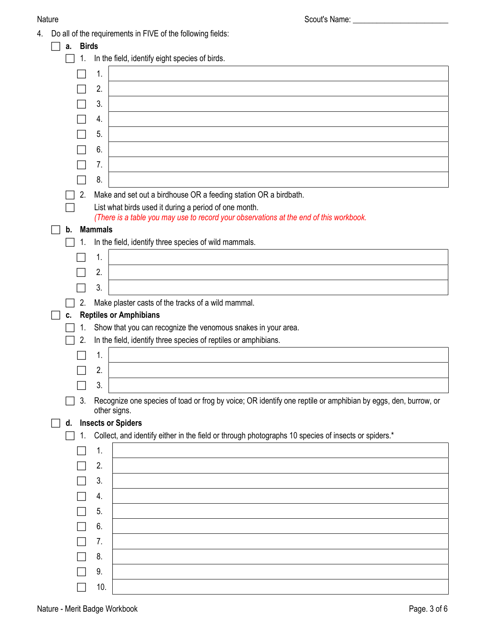Nature and the set of the set of the Scout's Name: \_\_\_\_\_\_\_\_\_\_\_\_\_\_\_\_\_\_\_\_\_\_\_\_\_\_\_\_\_

4. Do all of the requirements in FIVE of the following fields:

| a. | <b>Birds</b>                                   |                                                                                                               |  |  |  |  |  |  |  |
|----|------------------------------------------------|---------------------------------------------------------------------------------------------------------------|--|--|--|--|--|--|--|
| 1. | In the field, identify eight species of birds. |                                                                                                               |  |  |  |  |  |  |  |
|    | 1.                                             |                                                                                                               |  |  |  |  |  |  |  |
|    | 2.                                             |                                                                                                               |  |  |  |  |  |  |  |
|    | 3.                                             |                                                                                                               |  |  |  |  |  |  |  |
|    | 4.                                             |                                                                                                               |  |  |  |  |  |  |  |
|    | 5.                                             |                                                                                                               |  |  |  |  |  |  |  |
|    | 6.                                             |                                                                                                               |  |  |  |  |  |  |  |
|    | 7.                                             |                                                                                                               |  |  |  |  |  |  |  |
|    | 8.                                             |                                                                                                               |  |  |  |  |  |  |  |
| 2. |                                                | Make and set out a birdhouse OR a feeding station OR a birdbath.                                              |  |  |  |  |  |  |  |
|    |                                                | List what birds used it during a period of one month.                                                         |  |  |  |  |  |  |  |
|    |                                                | (There is a table you may use to record your observations at the end of this workbook.                        |  |  |  |  |  |  |  |
| b. | <b>Mammals</b>                                 |                                                                                                               |  |  |  |  |  |  |  |
|    |                                                | In the field, identify three species of wild mammals.                                                         |  |  |  |  |  |  |  |
|    | 1.                                             |                                                                                                               |  |  |  |  |  |  |  |
|    | 2.                                             |                                                                                                               |  |  |  |  |  |  |  |
|    | 3.                                             |                                                                                                               |  |  |  |  |  |  |  |
| 2. |                                                | Make plaster casts of the tracks of a wild mammal.                                                            |  |  |  |  |  |  |  |
| C. |                                                | <b>Reptiles or Amphibians</b>                                                                                 |  |  |  |  |  |  |  |
| 1. |                                                | Show that you can recognize the venomous snakes in your area.                                                 |  |  |  |  |  |  |  |
| 2. |                                                | In the field, identify three species of reptiles or amphibians.                                               |  |  |  |  |  |  |  |
|    | 1.                                             |                                                                                                               |  |  |  |  |  |  |  |
|    |                                                |                                                                                                               |  |  |  |  |  |  |  |
|    | 2.                                             |                                                                                                               |  |  |  |  |  |  |  |
|    | 3.                                             |                                                                                                               |  |  |  |  |  |  |  |
| 3. |                                                | Recognize one species of toad or frog by voice; OR identify one reptile or amphibian by eggs, den, burrow, or |  |  |  |  |  |  |  |
|    | other signs.                                   |                                                                                                               |  |  |  |  |  |  |  |
| d. |                                                | <b>Insects or Spiders</b>                                                                                     |  |  |  |  |  |  |  |
| 1. |                                                | Collect, and identify either in the field or through photographs 10 species of insects or spiders.*           |  |  |  |  |  |  |  |
|    | 1.                                             |                                                                                                               |  |  |  |  |  |  |  |
|    | 2.                                             |                                                                                                               |  |  |  |  |  |  |  |
|    | 3.                                             |                                                                                                               |  |  |  |  |  |  |  |
|    | 4.                                             |                                                                                                               |  |  |  |  |  |  |  |
|    | 5.                                             |                                                                                                               |  |  |  |  |  |  |  |
|    | 6.                                             |                                                                                                               |  |  |  |  |  |  |  |
|    | 7.                                             |                                                                                                               |  |  |  |  |  |  |  |
|    | 8.                                             |                                                                                                               |  |  |  |  |  |  |  |
|    | 9.                                             |                                                                                                               |  |  |  |  |  |  |  |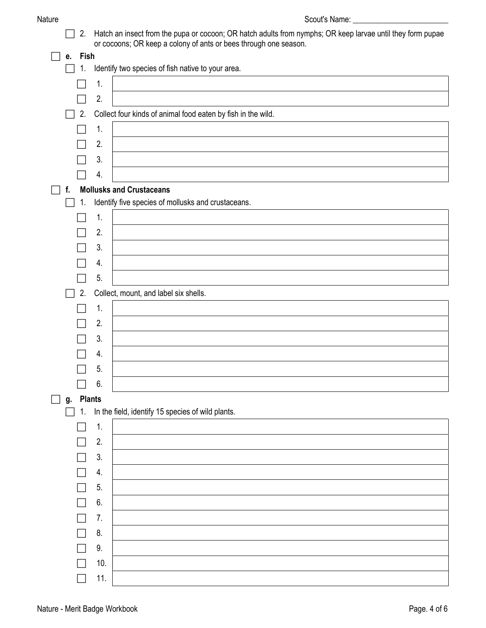| au.<br>N |
|----------|
|----------|

2. Hatch an insect from the pupa or cocoon; OR hatch adults from nymphs; OR keep larvae until they form pupae or cocoons; OR keep a colony of ants or bees through one season.

|   |                                                                       |               | or cocoons; OR keep a colony or ants or bees through one season. |  |  |  |  |
|---|-----------------------------------------------------------------------|---------------|------------------------------------------------------------------|--|--|--|--|
|   | Fish<br>е.<br>Identify two species of fish native to your area.<br>1. |               |                                                                  |  |  |  |  |
|   |                                                                       |               |                                                                  |  |  |  |  |
|   |                                                                       | 1.            |                                                                  |  |  |  |  |
|   |                                                                       | 2.            |                                                                  |  |  |  |  |
|   | 2.                                                                    |               | Collect four kinds of animal food eaten by fish in the wild.     |  |  |  |  |
|   |                                                                       | 1.            |                                                                  |  |  |  |  |
|   |                                                                       | 2.            |                                                                  |  |  |  |  |
|   |                                                                       | 3.            |                                                                  |  |  |  |  |
|   |                                                                       | 4.            |                                                                  |  |  |  |  |
|   | f.                                                                    |               | <b>Mollusks and Crustaceans</b>                                  |  |  |  |  |
|   | 1.                                                                    |               | Identify five species of mollusks and crustaceans.               |  |  |  |  |
|   |                                                                       | 1.            |                                                                  |  |  |  |  |
|   |                                                                       | 2.            |                                                                  |  |  |  |  |
|   |                                                                       | 3.            |                                                                  |  |  |  |  |
|   |                                                                       | 4.            |                                                                  |  |  |  |  |
|   |                                                                       | 5.            |                                                                  |  |  |  |  |
|   | 2.                                                                    |               | Collect, mount, and label six shells.                            |  |  |  |  |
|   |                                                                       | 1.            |                                                                  |  |  |  |  |
|   |                                                                       | 2.            |                                                                  |  |  |  |  |
|   |                                                                       | 3.            |                                                                  |  |  |  |  |
|   |                                                                       | 4.            |                                                                  |  |  |  |  |
|   |                                                                       | 5.            |                                                                  |  |  |  |  |
|   |                                                                       | 6.            |                                                                  |  |  |  |  |
| ш | g.                                                                    | <b>Plants</b> |                                                                  |  |  |  |  |
|   | 1.                                                                    |               | In the field, identify 15 species of wild plants.                |  |  |  |  |
|   |                                                                       | 1.            |                                                                  |  |  |  |  |
|   |                                                                       | 2.            |                                                                  |  |  |  |  |
|   |                                                                       | 3.            |                                                                  |  |  |  |  |
|   |                                                                       | 4.            |                                                                  |  |  |  |  |
|   |                                                                       | 5.            |                                                                  |  |  |  |  |
|   |                                                                       | 6.            |                                                                  |  |  |  |  |
|   |                                                                       | 7.            |                                                                  |  |  |  |  |
|   |                                                                       | 8.            |                                                                  |  |  |  |  |
|   |                                                                       | 9.            |                                                                  |  |  |  |  |
|   |                                                                       | 10.           |                                                                  |  |  |  |  |
|   |                                                                       | 11.           |                                                                  |  |  |  |  |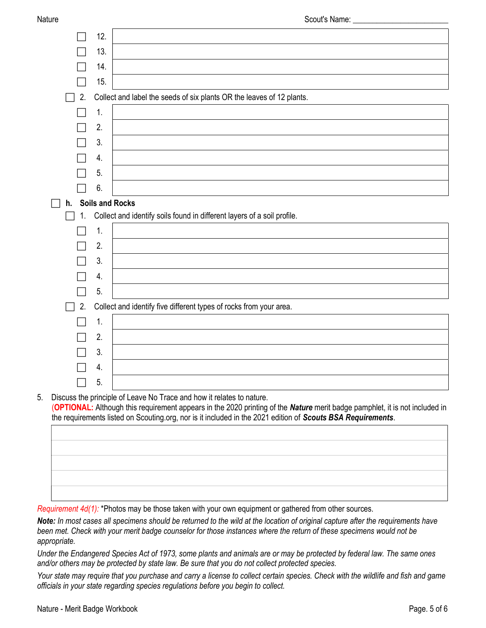|    | 12. |                                                                         |
|----|-----|-------------------------------------------------------------------------|
|    | 13. |                                                                         |
|    | 14. |                                                                         |
|    | 15. |                                                                         |
| 2. |     | Collect and label the seeds of six plants OR the leaves of 12 plants.   |
|    | 1.  |                                                                         |
|    | 2.  |                                                                         |
|    | 3.  |                                                                         |
|    | 4.  |                                                                         |
|    | 5.  |                                                                         |
|    | 6.  |                                                                         |
| h. |     | <b>Soils and Rocks</b>                                                  |
|    |     |                                                                         |
| 1. |     | Collect and identify soils found in different layers of a soil profile. |
|    | 1.  |                                                                         |
|    | 2.  |                                                                         |
|    | 3.  |                                                                         |
|    | 4.  |                                                                         |
|    | 5.  |                                                                         |
| 2. |     | Collect and identify five different types of rocks from your area.      |
|    | 1.  |                                                                         |
|    | 2.  |                                                                         |
|    | 3.  |                                                                         |
|    | 4.  |                                                                         |

5. Discuss the principle of Leave No Trace and how it relates to nature. (OPTIONAL: Although this requirement appears in the 2020 printing of the Nature merit badge pamphlet, it is not included in the requirements listed on Scouting.org, nor is it included in the 2021 edition of Scouts BSA Requirements.

Requirement 4d(1): \*Photos may be those taken with your own equipment or gathered from other sources.

Note: In most cases all specimens should be returned to the wild at the location of original capture after the requirements have been met. Check with your merit badge counselor for those instances where the return of these specimens would not be appropriate.

Under the Endangered Species Act of 1973, some plants and animals are or may be protected by federal law. The same ones and/or others may be protected by state law. Be sure that you do not collect protected species.

Your state may require that you purchase and carry a license to collect certain species. Check with the wildlife and fish and game officials in your state regarding species regulations before you begin to collect.